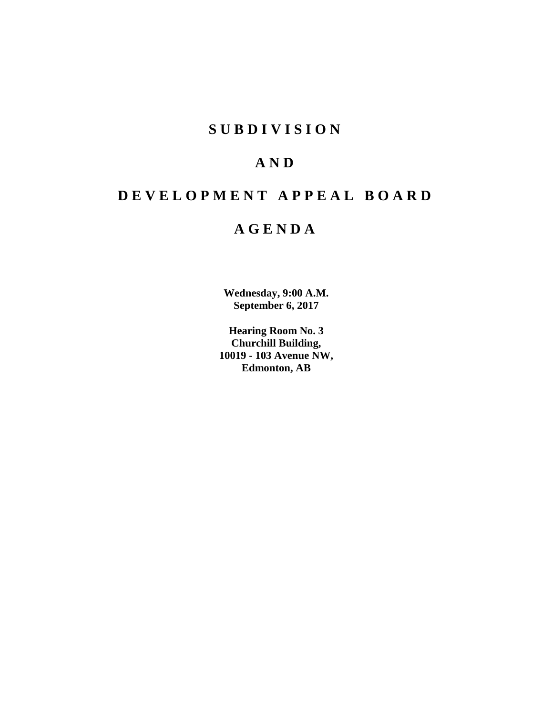# **SUBDIVISION**

# **AND**

# **DEVELOPMENT APPEAL BOARD**

# **AGENDA**

**Wednesday, 9:00 A.M. September 6, 2017**

**Hearing Room No. 3 Churchill Building, 10019 - 103 Avenue NW, Edmonton, AB**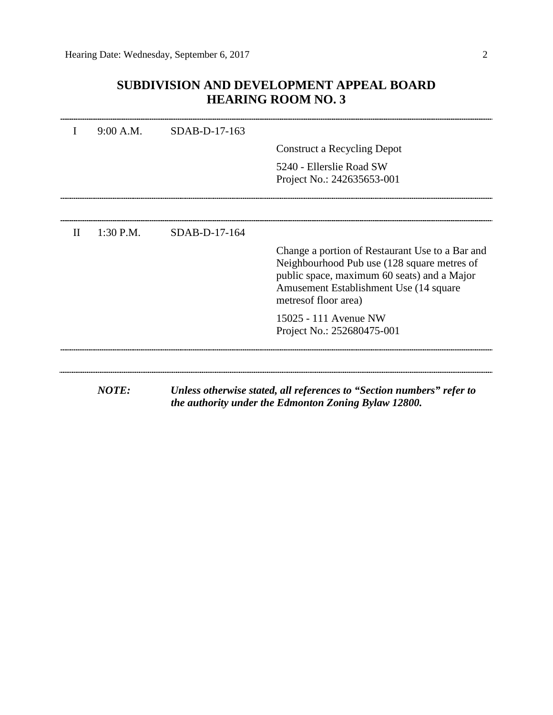## **SUBDIVISION AND DEVELOPMENT APPEAL BOARD HEARING ROOM NO. 3**

|              | 9:00 A.M.    | SDAB-D-17-163 |                                                                                                                                                                                                                   |
|--------------|--------------|---------------|-------------------------------------------------------------------------------------------------------------------------------------------------------------------------------------------------------------------|
|              |              |               | Construct a Recycling Depot                                                                                                                                                                                       |
|              |              |               | 5240 - Ellerslie Road SW                                                                                                                                                                                          |
|              |              |               | Project No.: 242635653-001                                                                                                                                                                                        |
|              |              |               |                                                                                                                                                                                                                   |
| $\mathbf{H}$ | 1:30 P.M.    | SDAB-D-17-164 |                                                                                                                                                                                                                   |
|              |              |               | Change a portion of Restaurant Use to a Bar and<br>Neighbourhood Pub use (128 square metres of<br>public space, maximum 60 seats) and a Major<br>Amusement Establishment Use (14 square)<br>metres of floor area) |
|              |              |               | 15025 - 111 Avenue NW<br>Project No.: 252680475-001                                                                                                                                                               |
|              |              |               |                                                                                                                                                                                                                   |
|              | <b>NOTE:</b> |               | Unless otherwise stated, all references to "Section numbers" refer to<br>the authority under the Edmonton Zoning Bylaw 12800.                                                                                     |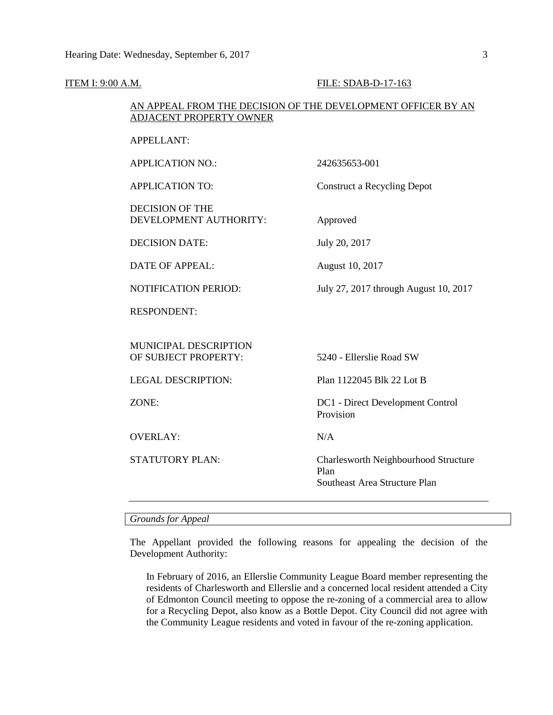## **ITEM I: 9:00 A.M. FILE: SDAB-D-17-163**

## AN APPEAL FROM THE DECISION OF THE DEVELOPMENT OFFICER BY AN ADJACENT PROPERTY OWNER

| 242635653-001                                 |
|-----------------------------------------------|
| <b>Construct a Recycling Depot</b>            |
| Approved                                      |
| July 20, 2017                                 |
| August 10, 2017                               |
| July 27, 2017 through August 10, 2017         |
|                                               |
|                                               |
| 5240 - Ellerslie Road SW                      |
| Plan 1122045 Blk 22 Lot B                     |
| DC1 - Direct Development Control<br>Provision |
|                                               |
| N/A                                           |
|                                               |

## *Grounds for Appeal*

The Appellant provided the following reasons for appealing the decision of the Development Authority:

In February of 2016, an Ellerslie Community League Board member representing the residents of Charlesworth and Ellerslie and a concerned local resident attended a City of Edmonton Council meeting to oppose the re-zoning of a commercial area to allow for a Recycling Depot, also know as a Bottle Depot. City Council did not agree with the Community League residents and voted in favour of the re-zoning application.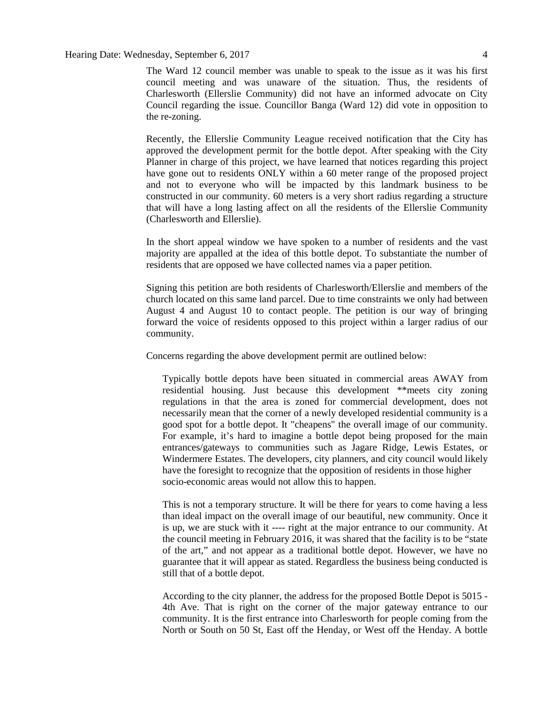The Ward 12 council member was unable to speak to the issue as it was his first council meeting and was unaware of the situation. Thus, the residents of Charlesworth (Ellerslie Community) did not have an informed advocate on City Council regarding the issue. Councillor Banga (Ward 12) did vote in opposition to the re-zoning.

Recently, the Ellerslie Community League received notification that the City has approved the development permit for the bottle depot. After speaking with the City Planner in charge of this project, we have learned that notices regarding this project have gone out to residents ONLY within a 60 meter range of the proposed project and not to everyone who will be impacted by this landmark business to be constructed in our community. 60 meters is a very short radius regarding a structure that will have a long lasting affect on all the residents of the Ellerslie Community (Charlesworth and Ellerslie).

In the short appeal window we have spoken to a number of residents and the vast majority are appalled at the idea of this bottle depot. To substantiate the number of residents that are opposed we have collected names via a paper petition.

Signing this petition are both residents of Charlesworth/Ellerslie and members of the church located on this same land parcel. Due to time constraints we only had between August 4 and August 10 to contact people. The petition is our way of bringing forward the voice of residents opposed to this project within a larger radius of our community.

Concerns regarding the above development permit are outlined below:

Typically bottle depots have been situated in commercial areas AWAY from residential housing. Just because this development \*\*meets city zoning regulations in that the area is zoned for commercial development, does not necessarily mean that the corner of a newly developed residential community is a good spot for a bottle depot. It "cheapens" the overall image of our community. For example, it's hard to imagine a bottle depot being proposed for the main entrances/gateways to communities such as Jagare Ridge, Lewis Estates, or Windermere Estates. The developers, city planners, and city council would likely have the foresight to recognize that the opposition of residents in those higher socio-economic areas would not allow this to happen.

This is not a temporary structure. It will be there for years to come having a less than ideal impact on the overall image of our beautiful, new community. Once it is up, we are stuck with it ---- right at the major entrance to our community. At the council meeting in February 2016, it was shared that the facility is to be "state of the art," and not appear as a traditional bottle depot. However, we have no guarantee that it will appear as stated. Regardless the business being conducted is still that of a bottle depot.

According to the city planner, the address for the proposed Bottle Depot is 5015 - 4th Ave. That is right on the corner of the major gateway entrance to our community. It is the first entrance into Charlesworth for people coming from the North or South on 50 St, East off the Henday, or West off the Henday. A bottle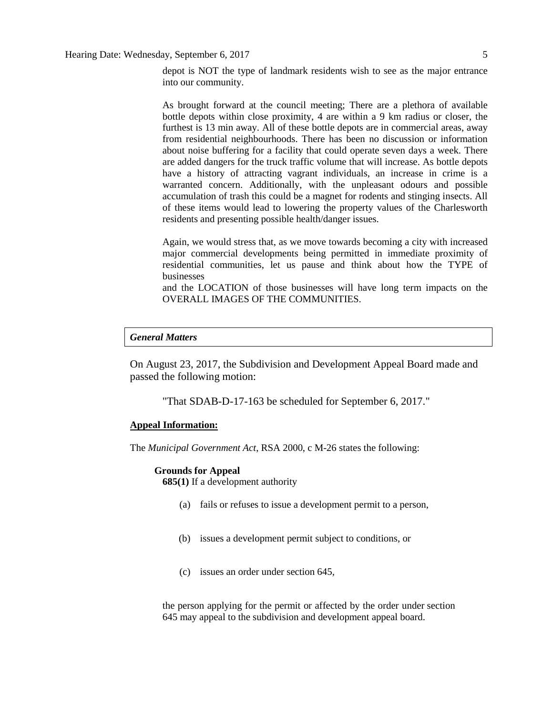As brought forward at the council meeting; There are a plethora of available bottle depots within close proximity, 4 are within a 9 km radius or closer, the furthest is 13 min away. All of these bottle depots are in commercial areas, away from residential neighbourhoods. There has been no discussion or information about noise buffering for a facility that could operate seven days a week. There are added dangers for the truck traffic volume that will increase. As bottle depots have a history of attracting vagrant individuals, an increase in crime is a warranted concern. Additionally, with the unpleasant odours and possible accumulation of trash this could be a magnet for rodents and stinging insects. All of these items would lead to lowering the property values of the Charlesworth residents and presenting possible health/danger issues.

Again, we would stress that, as we move towards becoming a city with increased major commercial developments being permitted in immediate proximity of residential communities, let us pause and think about how the TYPE of businesses

and the LOCATION of those businesses will have long term impacts on the OVERALL IMAGES OF THE COMMUNITIES.

## *General Matters*

On August 23, 2017, the Subdivision and Development Appeal Board made and passed the following motion:

"That SDAB-D-17-163 be scheduled for September 6, 2017."

## **Appeal Information:**

The *Municipal Government Act*, RSA 2000, c M-26 states the following:

## **Grounds for Appeal**

**685(1)** If a development authority

- (a) fails or refuses to issue a development permit to a person,
- (b) issues a development permit subject to conditions, or
- (c) issues an order under section 645,

the person applying for the permit or affected by the order under section 645 may appeal to the subdivision and development appeal board.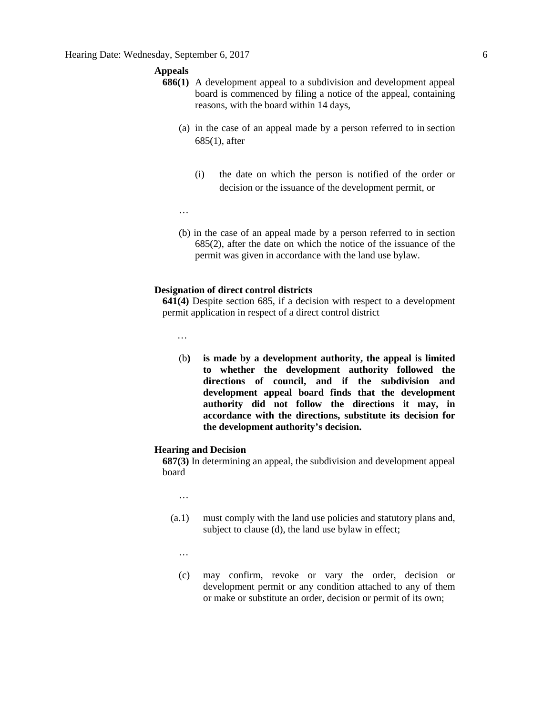## **Appeals**

- **686(1)** A development appeal to a subdivision and development appeal board is commenced by filing a notice of the appeal, containing reasons, with the board within 14 days,
	- (a) in the case of an appeal made by a person referred to in section 685(1), after
		- (i) the date on which the person is notified of the order or decision or the issuance of the development permit, or
	- …
	- (b) in the case of an appeal made by a person referred to in section 685(2), after the date on which the notice of the issuance of the permit was given in accordance with the land use bylaw.

## **Designation of direct control districts**

**641(4)** Despite section 685, if a decision with respect to a development permit application in respect of a direct control district

…

(b**) is made by a development authority, the appeal is limited to whether the development authority followed the directions of council, and if the subdivision and development appeal board finds that the development authority did not follow the directions it may, in accordance with the directions, substitute its decision for the development authority's decision.** 

## **Hearing and Decision**

**687(3)** In determining an appeal, the subdivision and development appeal board

…

- (a.1) must comply with the land use policies and statutory plans and, subject to clause (d), the land use bylaw in effect;
	- …
	- (c) may confirm, revoke or vary the order, decision or development permit or any condition attached to any of them or make or substitute an order, decision or permit of its own;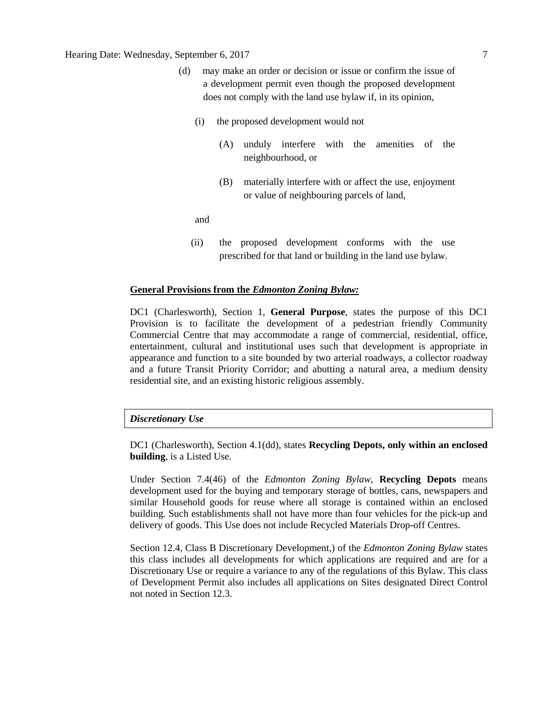## Hearing Date: Wednesday, September 6, 2017 7

- (d) may make an order or decision or issue or confirm the issue of a development permit even though the proposed development does not comply with the land use bylaw if, in its opinion,
	- (i) the proposed development would not
		- (A) unduly interfere with the amenities of the neighbourhood, or
		- (B) materially interfere with or affect the use, enjoyment or value of neighbouring parcels of land,

and

(ii) the proposed development conforms with the use prescribed for that land or building in the land use bylaw.

## **General Provisions from the** *Edmonton Zoning Bylaw:*

DC1 (Charlesworth), Section 1, **General Purpose**, states the purpose of this DC1 Provision is to facilitate the development of a pedestrian friendly Community Commercial Centre that may accommodate a range of commercial, residential, office, entertainment, cultural and institutional uses such that development is appropriate in appearance and function to a site bounded by two arterial roadways, a collector roadway and a future Transit Priority Corridor; and abutting a natural area, a medium density residential site, and an existing historic religious assembly.

## *Discretionary Use*

DC1 (Charlesworth), Section 4.1(dd), states **Recycling Depots, only within an enclosed building**, is a Listed Use.

Under Section 7.4(46) of the *Edmonton Zoning Bylaw*, **Recycling Depots** means development used for the buying and temporary storage of bottles, cans, newspapers and similar Household goods for reuse where all storage is contained within an enclosed building. Such establishments shall not have more than four vehicles for the pick-up and delivery of goods. This Use does not include Recycled Materials Drop-off Centres.

Section 12.4, Class B Discretionary Development,) of the *Edmonton Zoning Bylaw* states this class includes all developments for which applications are required and are for a Discretionary Use or require a variance to any of the regulations of this Bylaw. This class of Development Permit also includes all applications on Sites designated Direct Control not noted in Section 12.3.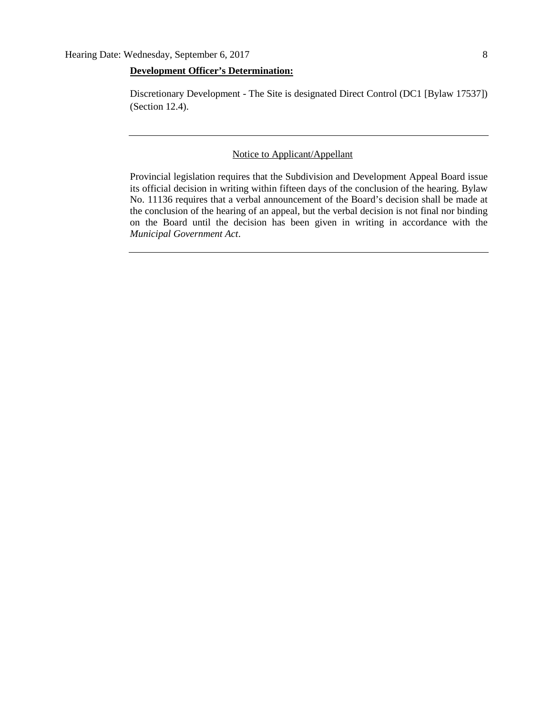## **Development Officer's Determination:**

Discretionary Development - The Site is designated Direct Control (DC1 [Bylaw 17537]) (Section 12.4).

## Notice to Applicant/Appellant

Provincial legislation requires that the Subdivision and Development Appeal Board issue its official decision in writing within fifteen days of the conclusion of the hearing. Bylaw No. 11136 requires that a verbal announcement of the Board's decision shall be made at the conclusion of the hearing of an appeal, but the verbal decision is not final nor binding on the Board until the decision has been given in writing in accordance with the *Municipal Government Act*.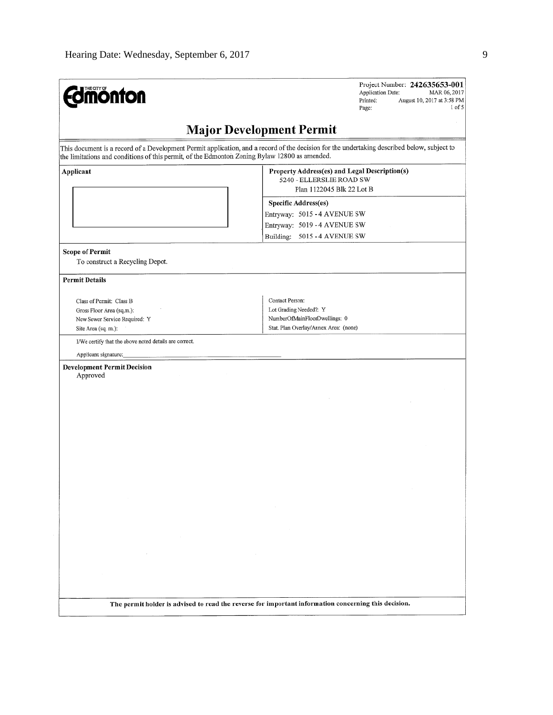| <b>Edmonton</b>                                                                                               | Project Number: 242635653-001<br><b>Application Date:</b><br>MAR 06, 2017<br>Printed:<br>August 10, 2017 at 3:58 PM<br>$1$ of $5$<br>Page:                                                            |
|---------------------------------------------------------------------------------------------------------------|-------------------------------------------------------------------------------------------------------------------------------------------------------------------------------------------------------|
|                                                                                                               | <b>Major Development Permit</b>                                                                                                                                                                       |
| the limitations and conditions of this permit, of the Edmonton Zoning Bylaw 12800 as amended.                 | This document is a record of a Development Permit application, and a record of the decision for the undertaking described below, subject to                                                           |
| Applicant                                                                                                     | Property Address(es) and Legal Description(s)<br>5240 - ELLERSLIE ROAD SW<br>Plan 1122045 Blk 22 Lot B<br><b>Specific Address(es)</b><br>Entryway: 5015 - 4 AVENUE SW<br>Entryway: 5019 - 4 AVENUE SW |
|                                                                                                               | Building: 5015 - 4 AVENUE SW                                                                                                                                                                          |
| <b>Scope of Permit</b><br>To construct a Recycling Depot.                                                     |                                                                                                                                                                                                       |
| <b>Permit Details</b>                                                                                         |                                                                                                                                                                                                       |
| Class of Permit: Class B<br>Gross Floor Area (sq.m.):<br>New Sewer Service Required: Y<br>Site Area (sq. m.): | Contact Person:<br>Lot Grading Needed?: Y<br>NumberOfMainFloorDwellings: 0<br>Stat. Plan Overlay/Annex Area: (none)                                                                                   |
| I/We certify that the above noted details are correct.                                                        |                                                                                                                                                                                                       |
| Applicant signature:<br><b>Development Permit Decision</b>                                                    |                                                                                                                                                                                                       |
| Approved                                                                                                      |                                                                                                                                                                                                       |
|                                                                                                               |                                                                                                                                                                                                       |
|                                                                                                               |                                                                                                                                                                                                       |
| $\sim$                                                                                                        |                                                                                                                                                                                                       |
|                                                                                                               |                                                                                                                                                                                                       |
|                                                                                                               | The permit holder is advised to read the reverse for important information concerning this decision.                                                                                                  |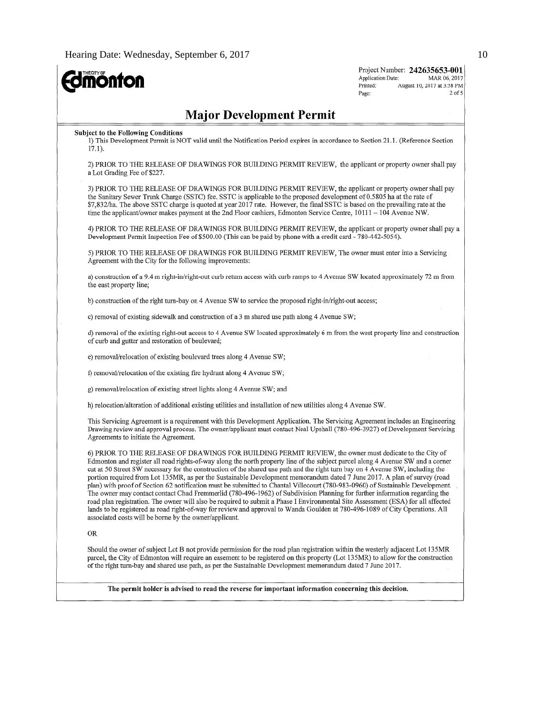**Edmonton** 

Project Number: 242635653-001 MAR 06, 2017 Application Date: Printed: August 10, 2017 at 3:58 PM  $2$  of 5 Page:

## **Major Development Permit**

#### **Subject to the Following Conditions**

1) This Development Permit is NOT valid until the Notification Period expires in accordance to Section 21.1. (Reference Section  $17.1$ ).

2) PRIOR TO THE RELEASE OF DRAWINGS FOR BUILDING PERMIT REVIEW, the applicant or property owner shall pay a Lot Grading Fee of \$227.

3) PRIOR TO THE RELEASE OF DRAWINGS FOR BUILDING PERMIT REVIEW, the applicant or property owner shall pay the Sanitary Sewer Trunk Charge (SSTC) fee. SSTC is applicable to the proposed development of 0.5805 ha at the rate of \$7,832/ha. The above SSTC charge is quoted at year 2017 rate. However, the final SSTC is based on the prevailing rate at the time the applicant/owner makes payment at the 2nd Floor cashiers, Edmonton Service Centre, 10111 - 104 Avenue NW.

4) PRIOR TO THE RELEASE OF DRAWINGS FOR BUILDING PERMIT REVIEW, the applicant or property owner shall pay a Development Permit Inspection Fee of \$500.00 (This can be paid by phone with a credit card - 780-442-5054).

5) PRIOR TO THE RELEASE OF DRAWINGS FOR BUILDING PERMIT REVIEW, The owner must enter into a Servicing Agreement with the City for the following improvements:

a) construction of a 9.4 m right-in/right-out curb return access with curb ramps to 4 Avenue SW located approximately 72 m from the east property line;

b) construction of the right turn-bay on 4 Avenue SW to service the proposed right-in/right-out access;

c) removal of existing sidewalk and construction of a 3 m shared use path along 4 Avenue SW;

d) removal of the existing right-out access to 4 Avenue SW located approximately 6 m from the west property line and construction of curb and gutter and restoration of boulevard;

e) removal/relocation of existing boulevard trees along 4 Avenue SW;

f) removal/relocation of the existing fire hydrant along 4 Avenue SW;

g) removal/relocation of existing street lights along 4 Avenue SW; and

h) relocation/alteration of additional existing utilities and installation of new utilities along 4 Avenue SW.

This Servicing Agreement is a requirement with this Development Application. The Servicing Agreement includes an Engineering Drawing review and approval process. The owner/applicant must contact Neal Upshall (780-496-3927) of Development Servicing Agreements to initiate the Agreement.

6) PRIOR TO THE RELEASE OF DRAWINGS FOR BUILDING PERMIT REVIEW, the owner must dedicate to the City of Edmonton and register all road rights-of-way along the north property line of the subject parcel along 4 Avenue SW and a corner cut at 50 Street SW necessary for the construction of the shared use path and the right turn bay on 4 Avenue SW, including the portion required from Lot 135MR, as per the Sustainable Development memorandum dated 7 June 2017. A plan of survey (road plan) with proof of Section 62 notification must be submitted to Chantal Villecourt (780-983-0960) of Sustainable Development. The owner may contact contact Chad Fremmerlid (780-496-1962) of Subdivision Planning for further information regarding the road plan registration. The owner will also be required to submit a Phase I Environmental Site Assessment (ESA) for all affected lands to be registered as road right-of-way for review and approval to Wanda Goulden at 780-496-1089 of City Operations. All associated costs will be borne by the owner/applicant.

### **OR**

Should the owner of subject Lot B not provide permission for the road plan registration within the westerly adjacent Lot 135MR parcel, the City of Edmonton will require an easement to be registered on this property (Lot 135MR) to allow for the construction of the right turn-bay and shared use path, as per the Sustainable Development memorandum dated 7 June 2017.

The permit holder is advised to read the reverse for important information concerning this decision.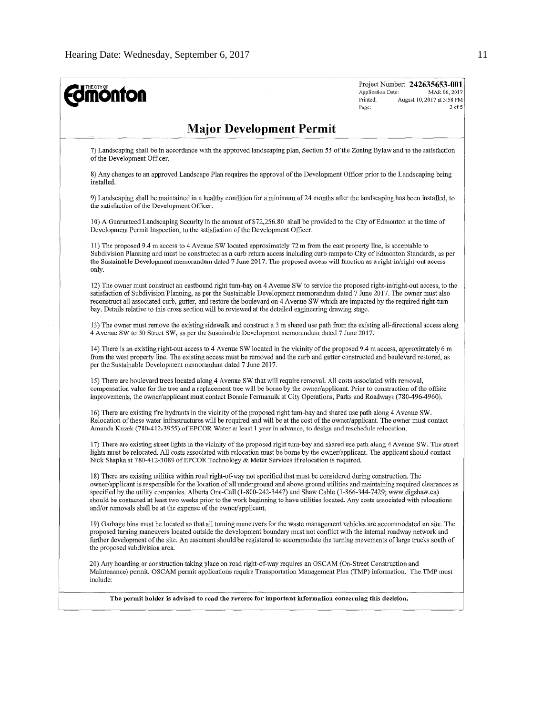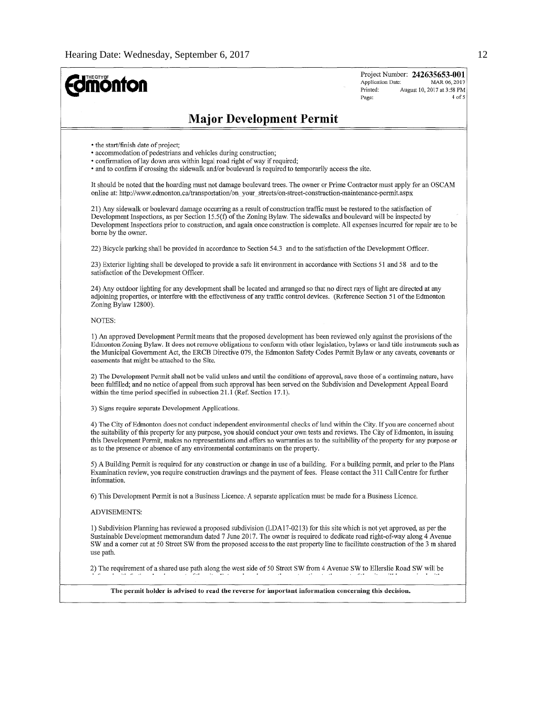| <b>monton</b>                                                                                                                                                                                                                                                                                                                                                                                                                                                                                 | Project Number: 242635653-001<br>Application Date:<br>MAR 06, 2017<br>Printed:<br>August 10, 2017 at 3:58 PM<br>4 of 5<br>Page: |
|-----------------------------------------------------------------------------------------------------------------------------------------------------------------------------------------------------------------------------------------------------------------------------------------------------------------------------------------------------------------------------------------------------------------------------------------------------------------------------------------------|---------------------------------------------------------------------------------------------------------------------------------|
| <b>Major Development Permit</b>                                                                                                                                                                                                                                                                                                                                                                                                                                                               |                                                                                                                                 |
| • the start/finish date of project;<br>• accommodation of pedestrians and vehicles during construction;<br>• confirmation of lay down area within legal road right of way if required;<br>• and to confirm if crossing the sidewalk and/or boulevard is required to temporarily access the site.                                                                                                                                                                                              |                                                                                                                                 |
| It should be noted that the hoarding must not damage boulevard trees. The owner or Prime Contractor must apply for an OSCAM<br>online at: http://www.edmonton.ca/transportation/on your streets/on-street-construction-maintenance-permit.aspx                                                                                                                                                                                                                                                |                                                                                                                                 |
| 21) Any sidewalk or boulevard damage occurring as a result of construction traffic must be restored to the satisfaction of<br>Development Inspections, as per Section 15.5(f) of the Zoning Bylaw. The sidewalks and boulevard will be inspected by<br>Development Inspections prior to construction, and again once construction is complete. All expenses incurred for repair are to be<br>borne by the owner.                                                                              |                                                                                                                                 |
| 22) Bicycle parking shall be provided in accordance to Section 54.3 and to the satisfaction of the Development Officer.                                                                                                                                                                                                                                                                                                                                                                       |                                                                                                                                 |
| 23) Exterior lighting shall be developed to provide a safe lit environment in accordance with Sections 51 and 58 and to the<br>satisfaction of the Development Officer.                                                                                                                                                                                                                                                                                                                       |                                                                                                                                 |
| 24) Any outdoor lighting for any development shall be located and arranged so that no direct rays of light are directed at any<br>adjoining properties, or interfere with the effectiveness of any traffic control devices. (Reference Section 51 of the Edmonton<br>Zoning Bylaw 12800).                                                                                                                                                                                                     |                                                                                                                                 |
| NOTES:                                                                                                                                                                                                                                                                                                                                                                                                                                                                                        |                                                                                                                                 |
| 1) An approved Development Permit means that the proposed development has been reviewed only against the provisions of the<br>Edmonton Zoning Bylaw. It does not remove obligations to conform with other legislation, bylaws or land title instruments such as<br>the Municipal Government Act, the ERCB Directive 079, the Edmonton Safety Codes Permit Bylaw or any caveats, covenants or<br>easements that might be attached to the Site.                                                 |                                                                                                                                 |
| 2) The Development Permit shall not be valid unless and until the conditions of approval, save those of a continuing nature, have<br>been fulfilled; and no notice of appeal from such approval has been served on the Subdivision and Development Appeal Board<br>within the time period specified in subsection 21.1 (Ref. Section 17.1).                                                                                                                                                   |                                                                                                                                 |
| 3) Signs require separate Development Applications.                                                                                                                                                                                                                                                                                                                                                                                                                                           |                                                                                                                                 |
| 4) The City of Edmonton does not conduct independent environmental checks of land within the City. If you are concerned about<br>the suitability of this property for any purpose, you should conduct your own tests and reviews. The City of Edmonton, in issuing<br>this Development Permit, makes no representations and offers no warranties as to the suitability of the property for any purpose or<br>as to the presence or absence of any environmental contaminants on the property. |                                                                                                                                 |
| 5) A Building Permit is required for any construction or change in use of a building. For a building permit, and prior to the Plans<br>Examination review, you require construction drawings and the payment of fees. Please contact the 311 Call Centre for further<br>information.                                                                                                                                                                                                          |                                                                                                                                 |
| 6) This Development Permit is not a Business Licence. A separate application must be made for a Business Licence.                                                                                                                                                                                                                                                                                                                                                                             |                                                                                                                                 |
| <b>ADVISEMENTS:</b>                                                                                                                                                                                                                                                                                                                                                                                                                                                                           |                                                                                                                                 |
| 1) Subdivision Planning has reviewed a proposed subdivision (LDA17-0213) for this site which is not yet approved, as per the<br>Sustainable Development memorandum dated 7 June 2017. The owner is required to dedicate road right-of-way along 4 Avenue<br>SW and a corner cut at 50 Street SW from the proposed access to the east property line to facilitate construction of the 3 m shared<br>use path.                                                                                  |                                                                                                                                 |
| 2) The requirement of a shared use path along the west side of 50 Street SW from 4 Avenue SW to Ellerslie Road SW will be<br>ંત જિલ્લોના પાક કરી છે. જેના પ્રાપ્તિ કરવા કરવા હતા. આ આ ગામના પ્રાપ્તિ પ્રાપ્તિ કરવામાં પ્રાપ્તિ અને પ્રાપ્તિ<br>ட்ச                                                                                                                                                                                                                                            |                                                                                                                                 |
| The permit holder is advised to read the reverse for important information concerning this decision.                                                                                                                                                                                                                                                                                                                                                                                          |                                                                                                                                 |
|                                                                                                                                                                                                                                                                                                                                                                                                                                                                                               |                                                                                                                                 |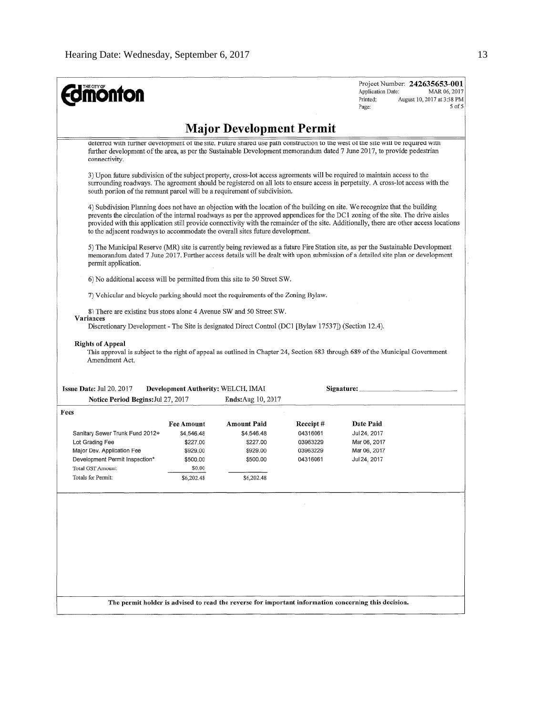| connectivity.<br>south portion of the remnant parcel will be a requirement of subdivision.<br>to the adjacent roadways to accommodate the overall sites future development.<br>permit application.<br>6) No additional access will be permitted from this site to 50 Street SW.<br>7) Vehicular and bicycle parking should meet the requirements of the Zoning Bylaw.<br>8) There are existing bus stops along 4 Avenue SW and 50 Street SW.<br>Variances |                    | <b>Major Development Permit</b>                                 |          | deterred with further development of the site. Future shared use path construction to the west of the site will be required with<br>further development of the area, as per the Sustainable Development memorandum dated 7 June 2017, to provide pedestrian<br>3) Upon future subdivision of the subject property, cross-lot access agreements will be required to maintain access to the<br>surrounding roadways. The agreement should be registered on all lots to ensure access in perpetuity. A cross-lot access with the<br>4) Subdivision Planning does not have an objection with the location of the building on site. We recognize that the building<br>prevents the circulation of the internal roadways as per the approved appendices for the DC1 zoning of the site. The drive aisles<br>provided with this application still provide connectivity with the remainder of the site. Additionally, there are other access locations<br>5) The Municipal Reserve (MR) site is currently being reviewed as a future Fire Station site, as per the Sustainable Development<br>memorandum dated 7 June 2017. Further access details will be dealt with upon submission of a detailed site plan or development |
|-----------------------------------------------------------------------------------------------------------------------------------------------------------------------------------------------------------------------------------------------------------------------------------------------------------------------------------------------------------------------------------------------------------------------------------------------------------|--------------------|-----------------------------------------------------------------|----------|----------------------------------------------------------------------------------------------------------------------------------------------------------------------------------------------------------------------------------------------------------------------------------------------------------------------------------------------------------------------------------------------------------------------------------------------------------------------------------------------------------------------------------------------------------------------------------------------------------------------------------------------------------------------------------------------------------------------------------------------------------------------------------------------------------------------------------------------------------------------------------------------------------------------------------------------------------------------------------------------------------------------------------------------------------------------------------------------------------------------------------------------------------------------------------------------------------------------|
|                                                                                                                                                                                                                                                                                                                                                                                                                                                           |                    |                                                                 |          |                                                                                                                                                                                                                                                                                                                                                                                                                                                                                                                                                                                                                                                                                                                                                                                                                                                                                                                                                                                                                                                                                                                                                                                                                      |
|                                                                                                                                                                                                                                                                                                                                                                                                                                                           |                    |                                                                 |          |                                                                                                                                                                                                                                                                                                                                                                                                                                                                                                                                                                                                                                                                                                                                                                                                                                                                                                                                                                                                                                                                                                                                                                                                                      |
|                                                                                                                                                                                                                                                                                                                                                                                                                                                           |                    |                                                                 |          |                                                                                                                                                                                                                                                                                                                                                                                                                                                                                                                                                                                                                                                                                                                                                                                                                                                                                                                                                                                                                                                                                                                                                                                                                      |
|                                                                                                                                                                                                                                                                                                                                                                                                                                                           |                    |                                                                 |          |                                                                                                                                                                                                                                                                                                                                                                                                                                                                                                                                                                                                                                                                                                                                                                                                                                                                                                                                                                                                                                                                                                                                                                                                                      |
|                                                                                                                                                                                                                                                                                                                                                                                                                                                           |                    |                                                                 |          |                                                                                                                                                                                                                                                                                                                                                                                                                                                                                                                                                                                                                                                                                                                                                                                                                                                                                                                                                                                                                                                                                                                                                                                                                      |
|                                                                                                                                                                                                                                                                                                                                                                                                                                                           |                    |                                                                 |          |                                                                                                                                                                                                                                                                                                                                                                                                                                                                                                                                                                                                                                                                                                                                                                                                                                                                                                                                                                                                                                                                                                                                                                                                                      |
|                                                                                                                                                                                                                                                                                                                                                                                                                                                           |                    |                                                                 |          |                                                                                                                                                                                                                                                                                                                                                                                                                                                                                                                                                                                                                                                                                                                                                                                                                                                                                                                                                                                                                                                                                                                                                                                                                      |
| <b>Rights of Appeal</b><br>Amendment Act.<br>Issue Date: Jul 20, 2017<br>Notice Period Begins: Jul 27, 2017                                                                                                                                                                                                                                                                                                                                               |                    | Development Authority: WELCH, IMAI<br><b>Ends:</b> Aug 10, 2017 |          | This approval is subject to the right of appeal as outlined in Chapter 24, Section 683 through 689 of the Municipal Government<br>Signature:                                                                                                                                                                                                                                                                                                                                                                                                                                                                                                                                                                                                                                                                                                                                                                                                                                                                                                                                                                                                                                                                         |
| Fees                                                                                                                                                                                                                                                                                                                                                                                                                                                      |                    |                                                                 |          |                                                                                                                                                                                                                                                                                                                                                                                                                                                                                                                                                                                                                                                                                                                                                                                                                                                                                                                                                                                                                                                                                                                                                                                                                      |
|                                                                                                                                                                                                                                                                                                                                                                                                                                                           | Fee Amount         | Amount Paid                                                     | Receipt# | Date Paid                                                                                                                                                                                                                                                                                                                                                                                                                                                                                                                                                                                                                                                                                                                                                                                                                                                                                                                                                                                                                                                                                                                                                                                                            |
| Sanitary Sewer Trunk Fund 2012+                                                                                                                                                                                                                                                                                                                                                                                                                           | \$4,546.48         | \$4,546.48                                                      | 04316061 | Jul 24, 2017                                                                                                                                                                                                                                                                                                                                                                                                                                                                                                                                                                                                                                                                                                                                                                                                                                                                                                                                                                                                                                                                                                                                                                                                         |
| Lot Grading Fee                                                                                                                                                                                                                                                                                                                                                                                                                                           | \$227.00           | \$227.00                                                        | 03963229 | Mar 06, 2017                                                                                                                                                                                                                                                                                                                                                                                                                                                                                                                                                                                                                                                                                                                                                                                                                                                                                                                                                                                                                                                                                                                                                                                                         |
| Major Dev. Application Fee                                                                                                                                                                                                                                                                                                                                                                                                                                | \$929.00           | \$929.00                                                        | 03963229 | Mar 06, 2017                                                                                                                                                                                                                                                                                                                                                                                                                                                                                                                                                                                                                                                                                                                                                                                                                                                                                                                                                                                                                                                                                                                                                                                                         |
| Development Permit Inspection*<br>Total GST Amount:                                                                                                                                                                                                                                                                                                                                                                                                       | \$500.00<br>\$0.00 | \$500.00                                                        | 04316061 | Jul 24, 2017                                                                                                                                                                                                                                                                                                                                                                                                                                                                                                                                                                                                                                                                                                                                                                                                                                                                                                                                                                                                                                                                                                                                                                                                         |
| Totals for Permit:                                                                                                                                                                                                                                                                                                                                                                                                                                        | \$6,202.48         | \$6,202.48                                                      |          |                                                                                                                                                                                                                                                                                                                                                                                                                                                                                                                                                                                                                                                                                                                                                                                                                                                                                                                                                                                                                                                                                                                                                                                                                      |
|                                                                                                                                                                                                                                                                                                                                                                                                                                                           |                    |                                                                 |          |                                                                                                                                                                                                                                                                                                                                                                                                                                                                                                                                                                                                                                                                                                                                                                                                                                                                                                                                                                                                                                                                                                                                                                                                                      |
|                                                                                                                                                                                                                                                                                                                                                                                                                                                           |                    |                                                                 |          |                                                                                                                                                                                                                                                                                                                                                                                                                                                                                                                                                                                                                                                                                                                                                                                                                                                                                                                                                                                                                                                                                                                                                                                                                      |
|                                                                                                                                                                                                                                                                                                                                                                                                                                                           |                    |                                                                 |          |                                                                                                                                                                                                                                                                                                                                                                                                                                                                                                                                                                                                                                                                                                                                                                                                                                                                                                                                                                                                                                                                                                                                                                                                                      |
|                                                                                                                                                                                                                                                                                                                                                                                                                                                           |                    |                                                                 |          |                                                                                                                                                                                                                                                                                                                                                                                                                                                                                                                                                                                                                                                                                                                                                                                                                                                                                                                                                                                                                                                                                                                                                                                                                      |
|                                                                                                                                                                                                                                                                                                                                                                                                                                                           |                    |                                                                 |          |                                                                                                                                                                                                                                                                                                                                                                                                                                                                                                                                                                                                                                                                                                                                                                                                                                                                                                                                                                                                                                                                                                                                                                                                                      |
|                                                                                                                                                                                                                                                                                                                                                                                                                                                           |                    |                                                                 |          |                                                                                                                                                                                                                                                                                                                                                                                                                                                                                                                                                                                                                                                                                                                                                                                                                                                                                                                                                                                                                                                                                                                                                                                                                      |
|                                                                                                                                                                                                                                                                                                                                                                                                                                                           |                    |                                                                 |          |                                                                                                                                                                                                                                                                                                                                                                                                                                                                                                                                                                                                                                                                                                                                                                                                                                                                                                                                                                                                                                                                                                                                                                                                                      |
|                                                                                                                                                                                                                                                                                                                                                                                                                                                           |                    |                                                                 |          |                                                                                                                                                                                                                                                                                                                                                                                                                                                                                                                                                                                                                                                                                                                                                                                                                                                                                                                                                                                                                                                                                                                                                                                                                      |
|                                                                                                                                                                                                                                                                                                                                                                                                                                                           |                    |                                                                 |          | The permit holder is advised to read the reverse for important information concerning this decision.                                                                                                                                                                                                                                                                                                                                                                                                                                                                                                                                                                                                                                                                                                                                                                                                                                                                                                                                                                                                                                                                                                                 |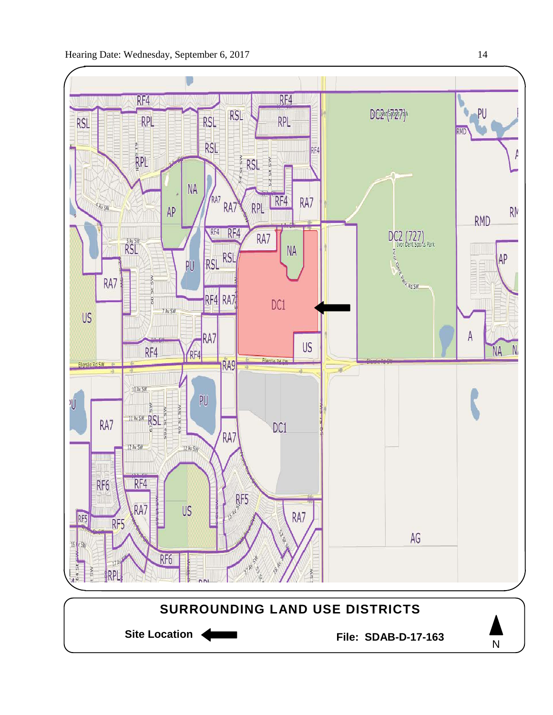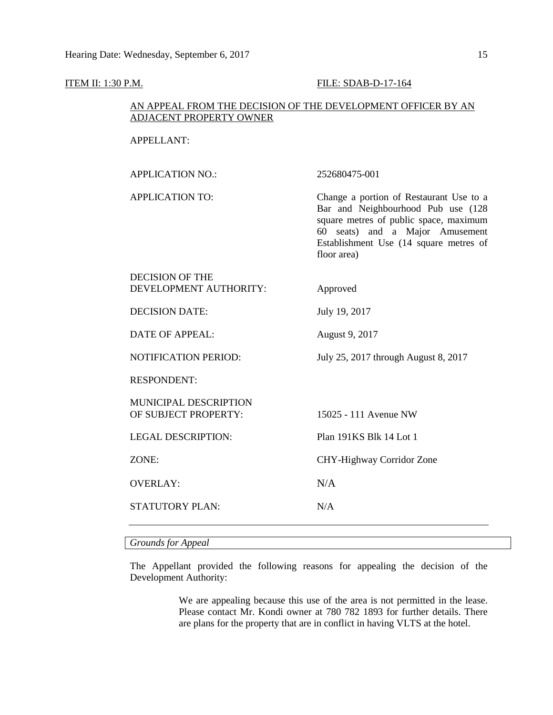## **ITEM II: 1:30 P.M. FILE: SDAB-D-17-164**

## AN APPEAL FROM THE DECISION OF THE DEVELOPMENT OFFICER BY AN ADJACENT PROPERTY OWNER

## APPELLANT:

| APPLICATION NO.:                                     | 252680475-001                                                                                                                                                                                                       |
|------------------------------------------------------|---------------------------------------------------------------------------------------------------------------------------------------------------------------------------------------------------------------------|
| <b>APPLICATION TO:</b>                               | Change a portion of Restaurant Use to a<br>Bar and Neighbourhood Pub use (128<br>square metres of public space, maximum<br>60 seats) and a Major Amusement<br>Establishment Use (14 square metres of<br>floor area) |
| <b>DECISION OF THE</b><br>DEVELOPMENT AUTHORITY:     | Approved                                                                                                                                                                                                            |
| <b>DECISION DATE:</b>                                | July 19, 2017                                                                                                                                                                                                       |
| DATE OF APPEAL:                                      | August 9, 2017                                                                                                                                                                                                      |
| <b>NOTIFICATION PERIOD:</b>                          | July 25, 2017 through August 8, 2017                                                                                                                                                                                |
| <b>RESPONDENT:</b>                                   |                                                                                                                                                                                                                     |
| <b>MUNICIPAL DESCRIPTION</b><br>OF SUBJECT PROPERTY: | 15025 - 111 Avenue NW                                                                                                                                                                                               |
| <b>LEGAL DESCRIPTION:</b>                            | Plan 191KS Blk 14 Lot 1                                                                                                                                                                                             |
| ZONE:                                                | CHY-Highway Corridor Zone                                                                                                                                                                                           |
| <b>OVERLAY:</b>                                      | N/A                                                                                                                                                                                                                 |

STATUTORY PLAN: N/A

*Grounds for Appeal*

The Appellant provided the following reasons for appealing the decision of the Development Authority:

> We are appealing because this use of the area is not permitted in the lease. Please contact Mr. Kondi owner at 780 782 1893 for further details. There are plans for the property that are in conflict in having VLTS at the hotel.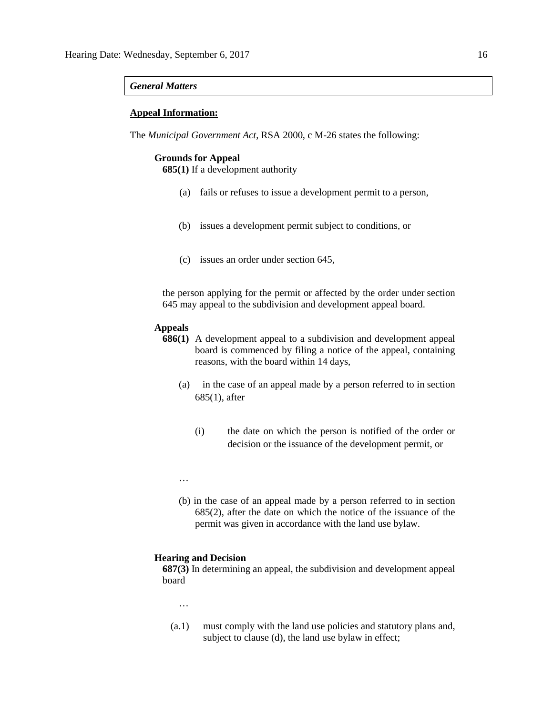## *General Matters*

## **Appeal Information:**

The *Municipal Government Act*, RSA 2000, c M-26 states the following:

## **Grounds for Appeal**

**685(1)** If a development authority

- (a) fails or refuses to issue a development permit to a person,
- (b) issues a development permit subject to conditions, or
- (c) issues an order under section 645,

the person applying for the permit or affected by the order under section 645 may appeal to the subdivision and development appeal board.

## **Appeals**

- **686(1)** A development appeal to a subdivision and development appeal board is commenced by filing a notice of the appeal, containing reasons, with the board within 14 days,
	- (a) in the case of an appeal made by a person referred to in section 685(1), after
		- (i) the date on which the person is notified of the order or decision or the issuance of the development permit, or
	- …
	- (b) in the case of an appeal made by a person referred to in section 685(2), after the date on which the notice of the issuance of the permit was given in accordance with the land use bylaw.

## **Hearing and Decision**

**687(3)** In determining an appeal, the subdivision and development appeal board

- …
- (a.1) must comply with the land use policies and statutory plans and, subject to clause (d), the land use bylaw in effect;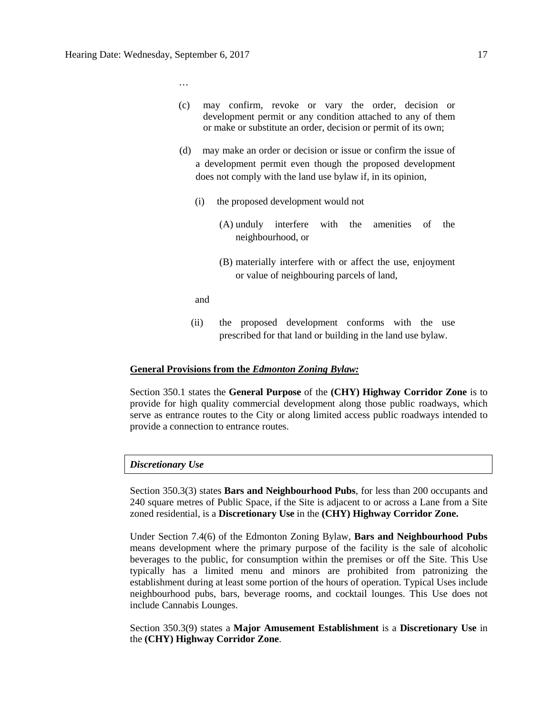…

- (c) may confirm, revoke or vary the order, decision or development permit or any condition attached to any of them or make or substitute an order, decision or permit of its own;
- (d) may make an order or decision or issue or confirm the issue of a development permit even though the proposed development does not comply with the land use bylaw if, in its opinion,
	- (i) the proposed development would not
		- (A) unduly interfere with the amenities of the neighbourhood, or
		- (B) materially interfere with or affect the use, enjoyment or value of neighbouring parcels of land,

and

(ii) the proposed development conforms with the use prescribed for that land or building in the land use bylaw.

## **General Provisions from the** *Edmonton Zoning Bylaw:*

Section 350.1 states the **General Purpose** of the **(CHY) Highway Corridor Zone** is to provide for high quality commercial development along those public roadways, which serve as entrance routes to the City or along limited access public roadways intended to provide a connection to entrance routes.

## *Discretionary Use*

Section 350.3(3) states **Bars and Neighbourhood Pubs**, for less than 200 occupants and 240 square metres of Public Space, if the Site is adjacent to or across a Lane from a Site zoned residential, is a **Discretionary Use** in the **(CHY) Highway Corridor Zone.**

Under Section 7.4(6) of the Edmonton Zoning Bylaw, **Bars and Neighbourhood Pubs** means development where the primary purpose of the facility is the sale of alcoholic beverages to the public, for consumption within the premises or off the Site. This Use typically has a limited menu and minors are prohibited from patronizing the establishment during at least some portion of the hours of operation. Typical Uses include neighbourhood pubs, bars, beverage rooms, and cocktail lounges. This Use does not include Cannabis Lounges.

Section 350.3(9) states a **Major Amusement Establishment** is a **Discretionary Use** in the **(CHY) Highway Corridor Zone**.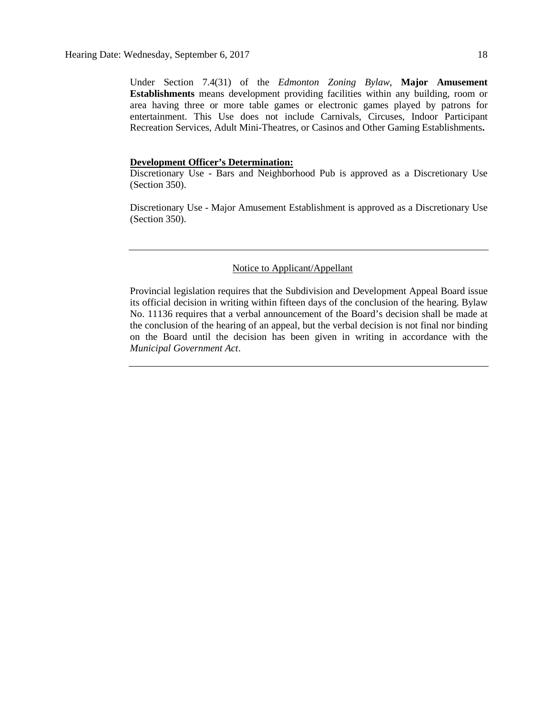Under Section 7.4(31) of the *Edmonton Zoning Bylaw*, **Major Amusement Establishments** means development providing facilities within any building, room or area having three or more table games or electronic games played by patrons for entertainment. This Use does not include Carnivals, Circuses, Indoor Participant Recreation Services, Adult Mini-Theatres, or Casinos and Other Gaming Establishments**.**

## **Development Officer's Determination:**

Discretionary Use - Bars and Neighborhood Pub is approved as a Discretionary Use (Section 350).

Discretionary Use - Major Amusement Establishment is approved as a Discretionary Use (Section 350).

## Notice to Applicant/Appellant

Provincial legislation requires that the Subdivision and Development Appeal Board issue its official decision in writing within fifteen days of the conclusion of the hearing. Bylaw No. 11136 requires that a verbal announcement of the Board's decision shall be made at the conclusion of the hearing of an appeal, but the verbal decision is not final nor binding on the Board until the decision has been given in writing in accordance with the *Municipal Government Act*.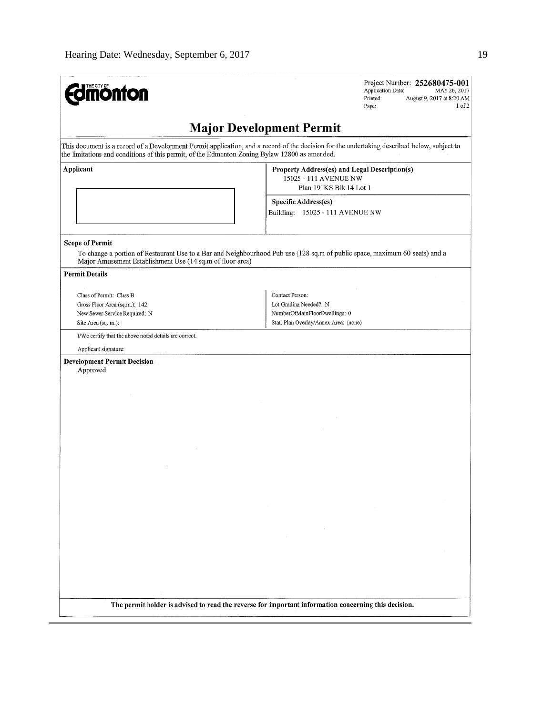| <b>mönton</b>                                                                                                     | Project Number: 252680475-001<br><b>Application Date:</b><br>MAY 26, 2017<br>Printed:<br>August 9, 2017 at 8:20 AM<br>$1$ of $2$<br>Page:                    |
|-------------------------------------------------------------------------------------------------------------------|--------------------------------------------------------------------------------------------------------------------------------------------------------------|
|                                                                                                                   | <b>Major Development Permit</b>                                                                                                                              |
| the limitations and conditions of this permit, of the Edmonton Zoning Bylaw 12800 as amended.                     | This document is a record of a Development Permit application, and a record of the decision for the undertaking described below, subject to                  |
| Applicant                                                                                                         | Property Address(es) and Legal Description(s)<br>15025 - 111 AVENUE NW<br>Plan 191KS Blk 14 Lot 1<br>Specific Address(es)<br>Building: 15025 - 111 AVENUE NW |
| <b>Scope of Permit</b><br>Major Amusement Establishment Use (14 sq.m of floor area)                               | To change a portion of Restaurant Use to a Bar and Neighbourhood Pub use (128 sq.m of public space, maximum 60 seats) and a                                  |
| <b>Permit Details</b>                                                                                             |                                                                                                                                                              |
| Class of Permit: Class B<br>Gross Floor Area (sq.m.): 142<br>New Sewer Service Required: N<br>Site Area (sq. m.): | Contact Person:<br>Lot Grading Needed?: N<br>NumberOfMainFloorDwellings: 0<br>Stat. Plan Overlay/Annex Area: (none)                                          |
| I/We certify that the above noted details are correct.<br>Applicant signature:                                    |                                                                                                                                                              |
| <b>Development Permit Decision</b><br>Approved                                                                    |                                                                                                                                                              |
|                                                                                                                   |                                                                                                                                                              |
|                                                                                                                   |                                                                                                                                                              |
|                                                                                                                   |                                                                                                                                                              |
|                                                                                                                   | $\sim 10^{-1}$                                                                                                                                               |
|                                                                                                                   |                                                                                                                                                              |
|                                                                                                                   | The permit holder is advised to read the reverse for important information concerning this decision.                                                         |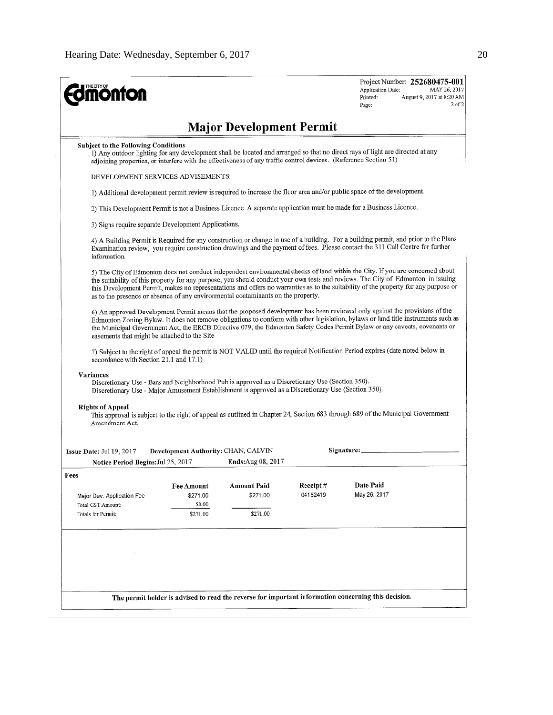| <b>nonfon</b>                                                                                                                                                                                                       |                                                                                                                                                                                                                                                                                                 |                                 |          | Project Number: 252680475-001<br>MAY 26, 2017<br>Application Date:<br>August 9, 2017 at 8:20 AM<br>Printed:<br>$2$ of $2$<br>Page:                                                                                                                                                                                                                                                                        |  |                                                                                                                                                                          |
|---------------------------------------------------------------------------------------------------------------------------------------------------------------------------------------------------------------------|-------------------------------------------------------------------------------------------------------------------------------------------------------------------------------------------------------------------------------------------------------------------------------------------------|---------------------------------|----------|-----------------------------------------------------------------------------------------------------------------------------------------------------------------------------------------------------------------------------------------------------------------------------------------------------------------------------------------------------------------------------------------------------------|--|--------------------------------------------------------------------------------------------------------------------------------------------------------------------------|
|                                                                                                                                                                                                                     |                                                                                                                                                                                                                                                                                                 | <b>Major Development Permit</b> |          |                                                                                                                                                                                                                                                                                                                                                                                                           |  |                                                                                                                                                                          |
|                                                                                                                                                                                                                     | <b>Subject to the Following Conditions</b><br>1) Any outdoor lighting for any development shall be located and arranged so that no direct rays of light are directed at any<br>adjoining properties, or interfere with the effectiveness of any traffic control devices. (Reference Section 51) |                                 |          |                                                                                                                                                                                                                                                                                                                                                                                                           |  |                                                                                                                                                                          |
| DEVELOPMENT SERVICES ADVISEMENTS:<br>1) Additional development permit review is required to increase the floor area and/or public space of the development.                                                         |                                                                                                                                                                                                                                                                                                 |                                 |          |                                                                                                                                                                                                                                                                                                                                                                                                           |  |                                                                                                                                                                          |
|                                                                                                                                                                                                                     |                                                                                                                                                                                                                                                                                                 |                                 |          |                                                                                                                                                                                                                                                                                                                                                                                                           |  | 2) This Development Permit is not a Business Licence. A separate application must be made for a Business Licence.<br>3) Signs require separate Development Applications. |
| information.                                                                                                                                                                                                        |                                                                                                                                                                                                                                                                                                 |                                 |          | 4) A Building Permit is Required for any construction or change in use of a building. For a building permit, and prior to the Plans<br>Examination review, you require construction drawings and the payment of fees. Please contact the 311 Call Centre for further                                                                                                                                      |  |                                                                                                                                                                          |
| as to the presence or absence of any environmental contaminants on the property.                                                                                                                                    |                                                                                                                                                                                                                                                                                                 |                                 |          | 5) The City of Edmonton does not conduct independent environmental checks of land within the City. If you are concerned about<br>the suitability of this property for any purpose, you should conduct your own tests and reviews. The City of Edmonton, in issuing<br>this Development Permit, makes no representations and offers no warranties as to the suitability of the property for any purpose or |  |                                                                                                                                                                          |
| easements that might be attached to the Site                                                                                                                                                                        |                                                                                                                                                                                                                                                                                                 |                                 |          | 6) An approved Development Permit means that the proposed development has been reviewed only against the provisions of the<br>Edmonton Zoning Bylaw. It does not remove obligations to conform with other legislation, bylaws or land title instruments such as<br>the Municipal Government Act, the ERCB Directive 079, the Edmonton Safety Codes Permit Bylaw or any caveats, covenants or              |  |                                                                                                                                                                          |
| accordance with Section 21.1 and 17.1)                                                                                                                                                                              |                                                                                                                                                                                                                                                                                                 |                                 |          | 7) Subject to the right of appeal the permit is NOT VALID until the required Notification Period expires (date noted below in                                                                                                                                                                                                                                                                             |  |                                                                                                                                                                          |
| Variances<br>Discretionary Use - Bars and Neighborhood Pub is approved as a Discretionary Use (Section 350).<br>Discretionary Use - Major Amusement Establishment is approved as a Discretionary Use (Section 350). |                                                                                                                                                                                                                                                                                                 |                                 |          |                                                                                                                                                                                                                                                                                                                                                                                                           |  |                                                                                                                                                                          |
| <b>Rights of Appeal</b><br>Amendment Act.                                                                                                                                                                           |                                                                                                                                                                                                                                                                                                 |                                 |          | This approval is subject to the right of appeal as outlined in Chapter 24, Section 683 through 689 of the Municipal Government                                                                                                                                                                                                                                                                            |  |                                                                                                                                                                          |
| Issue Date: Jul 19, 2017                                                                                                                                                                                            | Development Authority: CHAN, CALVIN                                                                                                                                                                                                                                                             |                                 |          | Signature:                                                                                                                                                                                                                                                                                                                                                                                                |  |                                                                                                                                                                          |
| Notice Period Begins: Jul 25, 2017                                                                                                                                                                                  |                                                                                                                                                                                                                                                                                                 | Ends: Aug 08, 2017              |          |                                                                                                                                                                                                                                                                                                                                                                                                           |  |                                                                                                                                                                          |
| Fees                                                                                                                                                                                                                |                                                                                                                                                                                                                                                                                                 |                                 | Receipt# | Date Paid                                                                                                                                                                                                                                                                                                                                                                                                 |  |                                                                                                                                                                          |
| Major Dev. Application Fee                                                                                                                                                                                          | <b>Fee Amount</b><br>\$271.00                                                                                                                                                                                                                                                                   | Amount Paid<br>\$271.00         | 04152419 | May 26, 2017                                                                                                                                                                                                                                                                                                                                                                                              |  |                                                                                                                                                                          |
| Total GST Amount:                                                                                                                                                                                                   | \$0.00                                                                                                                                                                                                                                                                                          |                                 |          |                                                                                                                                                                                                                                                                                                                                                                                                           |  |                                                                                                                                                                          |
| <b>Totals for Permit:</b>                                                                                                                                                                                           | \$271.00                                                                                                                                                                                                                                                                                        | \$271.00                        |          |                                                                                                                                                                                                                                                                                                                                                                                                           |  |                                                                                                                                                                          |
|                                                                                                                                                                                                                     |                                                                                                                                                                                                                                                                                                 |                                 |          |                                                                                                                                                                                                                                                                                                                                                                                                           |  |                                                                                                                                                                          |
|                                                                                                                                                                                                                     |                                                                                                                                                                                                                                                                                                 |                                 |          |                                                                                                                                                                                                                                                                                                                                                                                                           |  |                                                                                                                                                                          |
|                                                                                                                                                                                                                     |                                                                                                                                                                                                                                                                                                 |                                 |          |                                                                                                                                                                                                                                                                                                                                                                                                           |  |                                                                                                                                                                          |
|                                                                                                                                                                                                                     |                                                                                                                                                                                                                                                                                                 |                                 |          | The permit holder is advised to read the reverse for important information concerning this decision.                                                                                                                                                                                                                                                                                                      |  |                                                                                                                                                                          |
|                                                                                                                                                                                                                     |                                                                                                                                                                                                                                                                                                 |                                 |          |                                                                                                                                                                                                                                                                                                                                                                                                           |  |                                                                                                                                                                          |